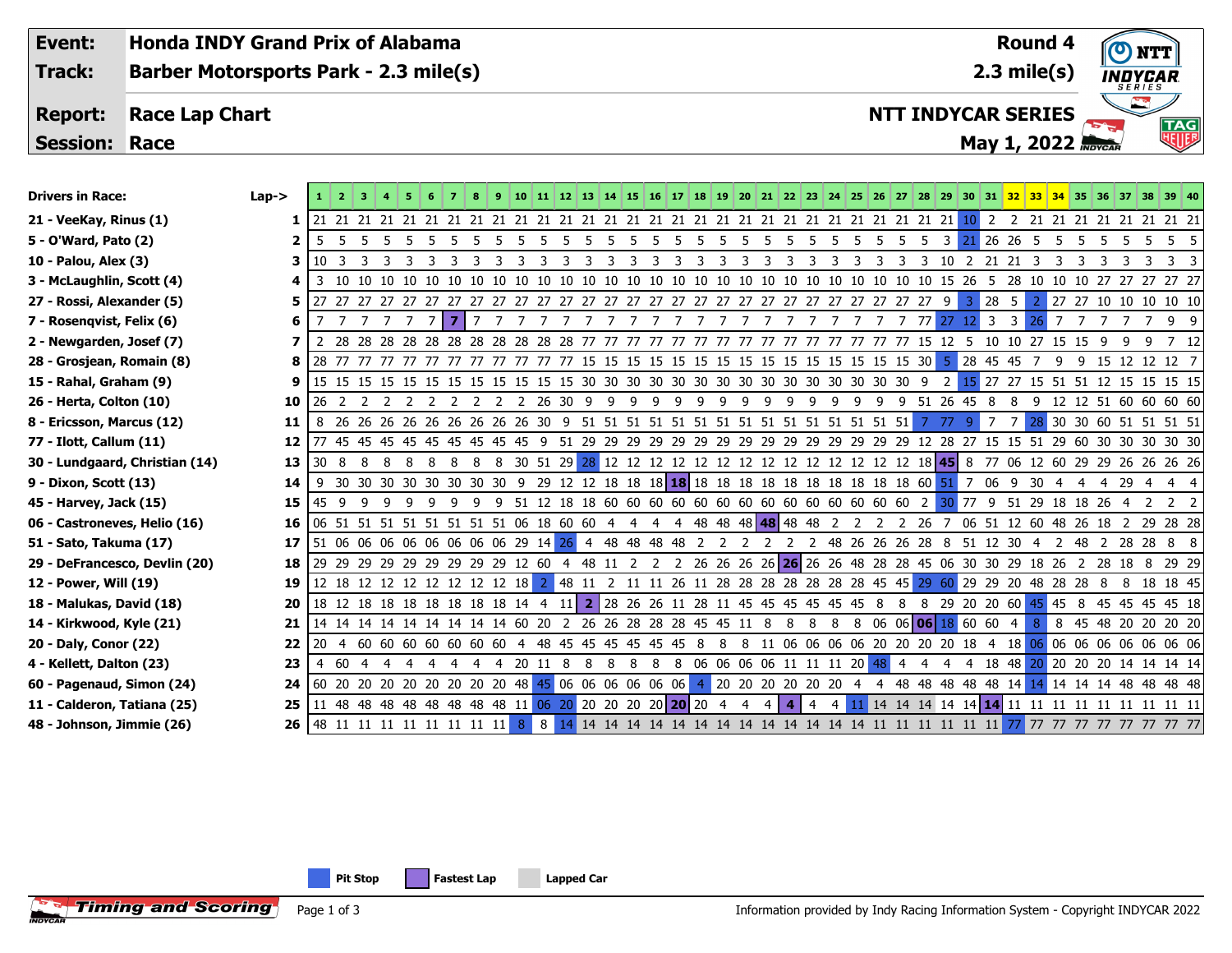| Event:                        | <b>Honda INDY Grand Prix of Alabama</b>      |          |                 |                         |    |                     |                                                                     |                |                     |    |    |   |   |               |     |    |    |                |                     |                |         |     |   |          |            |                                                                                                                            |                | <b>Round 4</b>                |                |    |             |     |                               |                 |
|-------------------------------|----------------------------------------------|----------|-----------------|-------------------------|----|---------------------|---------------------------------------------------------------------|----------------|---------------------|----|----|---|---|---------------|-----|----|----|----------------|---------------------|----------------|---------|-----|---|----------|------------|----------------------------------------------------------------------------------------------------------------------------|----------------|-------------------------------|----------------|----|-------------|-----|-------------------------------|-----------------|
| <b>Track:</b>                 | <b>Barber Motorsports Park - 2.3 mile(s)</b> |          |                 |                         |    |                     |                                                                     |                |                     |    |    |   |   | $2.3$ mile(s) |     |    |    |                |                     |                | INDYCAR |     |   |          |            |                                                                                                                            |                |                               |                |    |             |     |                               |                 |
|                               |                                              |          |                 |                         |    |                     |                                                                     |                |                     |    |    |   |   |               |     |    |    |                |                     |                |         |     |   |          |            |                                                                                                                            |                |                               |                |    |             |     |                               |                 |
| <b>Report:</b>                | <b>Race Lap Chart</b>                        |          |                 |                         |    |                     |                                                                     |                |                     |    |    |   |   |               |     |    |    |                |                     |                |         |     |   |          |            | <b>NTT INDYCAR SERIES</b>                                                                                                  |                |                               |                |    |             |     |                               |                 |
| <b>Session: Race</b>          |                                              |          |                 |                         |    |                     |                                                                     |                |                     |    |    |   |   |               |     |    |    |                |                     |                |         |     |   |          |            |                                                                                                                            |                |                               |                |    | May 1, 2022 |     |                               | <b>TAG</b><br>棚 |
|                               |                                              |          |                 |                         |    |                     |                                                                     |                |                     |    |    |   |   |               |     |    |    |                |                     |                |         |     |   |          |            |                                                                                                                            |                |                               |                |    |             |     |                               |                 |
| <b>Drivers in Race:</b>       |                                              | $Lap->$  |                 |                         |    |                     |                                                                     |                | 9                   |    |    |   |   |               |     |    |    |                |                     |                |         |     |   |          |            | 10   11   12   13   14   15   16   17   18   19   20   21   22   23   24   25   26   27   28   29   30   31   32           |                |                               |                |    |             |     | 33 34 35 36 37 38 39 40       |                 |
| 21 - VeeKay, Rinus (1)        |                                              | $1\vert$ |                 |                         |    |                     |                                                                     |                |                     |    |    |   |   |               |     |    |    |                |                     |                |         |     |   |          |            |                                                                                                                            |                |                               |                |    |             |     |                               |                 |
| 5 - O'Ward, Pato (2)          |                                              | 2        | 5               | -5<br>5                 | -5 | -5<br>-5            | 5                                                                   | -5             | 5<br>5 <sup>5</sup> | -5 | -5 | 5 | 5 | 5<br>-5       | - 5 | -5 | 5  | 5              | -5<br>-5            | 5              | 5       | 5   | 5 | -5<br>-5 | 3 I        | -21                                                                                                                        | 26 26          | - 5                           | 5              | -5 | -5          | - 5 | -5                            | 55              |
| 10 - Palou, Alex (3)          |                                              | 3        | 10 <sup>3</sup> | $\overline{\mathbf{3}}$ | 3  | -3                  | 3<br>3                                                              | 3              | 3<br>-3             | 3  | 3  | 3 | 3 | 3<br>3        | 3   | 3  | 3  | 3              | 3<br>3              | 3              | 3       | 3   | 3 | 3        |            | 3 10 2 21 21                                                                                                               |                | $\overline{3}$                | 3              | 3  | 3           | 3   | 3                             | 3 3             |
| 3 - McLaughlin, Scott (4)     |                                              |          | 3               | - 10                    |    |                     | 10 10 10 10 10                                                      | 10 10          |                     |    |    |   |   |               |     |    |    |                |                     |                |         |     |   |          |            | 10 10 10 10 15 26 5 28 10 10 10 27 27 27 27 27                                                                             |                |                               |                |    |             |     |                               |                 |
| 27 - Rossi, Alexander (5)     |                                              | 5        |                 |                         |    |                     |                                                                     |                |                     |    |    |   |   |               |     |    |    |                |                     |                |         |     |   |          | 9          | 3                                                                                                                          | 28             | - 5                           |                |    |             |     | 2 27 27 10 10 10 10 10        |                 |
| 7 - Rosenqvist, Felix (6)     |                                              | 6        | 7               | 7777                    |    |                     | 7 <b>7</b> 1                                                        | $\overline{7}$ | 777777777           |    |    |   |   |               |     |    |    | 77             | 77                  | 7              |         | 77  | 7 | 7        | 77 27      | $12 \overline{\smash{\big)}\ 3}$                                                                                           |                | $\overline{\mathbf{3}}$<br>26 | $\overline{7}$ |    |             |     | 7 7 7 7 9 9                   |                 |
| 2 - Newgarden, Josef (7)<br>7 |                                              |          |                 |                         |    |                     |                                                                     |                |                     |    |    |   |   |               |     |    |    |                |                     |                |         |     |   |          |            |                                                                                                                            |                |                               |                |    |             |     |                               |                 |
| 28 - Grosjean, Romain (8)     |                                              | 8        |                 |                         |    |                     |                                                                     |                |                     |    |    |   |   |               |     |    |    |                |                     |                |         |     |   |          |            | 5 28 45 45                                                                                                                 |                |                               |                |    |             |     | 7 9 9 15 12 12 12 7           |                 |
| 15 - Rahal, Graham (9)        |                                              | 9        |                 |                         |    |                     |                                                                     |                |                     |    |    |   |   |               |     |    |    |                |                     |                |         |     |   |          |            | $2 \quad 15$                                                                                                               |                |                               |                |    |             |     | 27 27 15 51 51 12 15 15 15 15 |                 |
| 26 - Herta, Colton (10)       |                                              | 10       | 26              | 2 2                     | 2  | 2<br>$\overline{2}$ |                                                                     | 2 2            | 2 2 26 30 9 9 9 9   |    |    |   |   |               |     | 99 | 99 |                | -9                  | 99             | 9       | - 9 | 9 |          | 9 51 26 45 |                                                                                                                            | 8              | 8<br>9                        |                |    |             |     | 12 12 51 60 60 60 60          |                 |
| 8 - Ericsson, Marcus (12)     |                                              | 11       | 8               |                         |    |                     |                                                                     |                |                     |    |    |   |   |               |     |    |    |                |                     |                |         |     |   |          | - 77       | $\bullet$                                                                                                                  | $\overline{7}$ | 7                             |                |    |             |     | 28 30 30 60 51 51 51 51       |                 |
| 77 - Ilott, Callum (11)       |                                              | 12       |                 |                         |    |                     |                                                                     |                |                     |    |    |   |   |               |     |    |    |                |                     |                |         |     |   |          |            |                                                                                                                            |                |                               |                |    |             |     |                               |                 |
|                               | 30 - Lundgaard, Christian (14)               | 13       |                 |                         |    |                     |                                                                     |                |                     |    |    |   |   |               |     |    |    |                |                     |                |         |     |   |          |            |                                                                                                                            |                |                               |                |    |             |     |                               |                 |
| 9 - Dixon, Scott (13)         |                                              | 14       |                 |                         |    |                     |                                                                     |                |                     |    |    |   |   |               |     |    |    |                |                     |                |         |     |   |          |            |                                                                                                                            |                |                               |                |    |             |     |                               |                 |
| 45 - Harvey, Jack (15)        |                                              | 15       |                 |                         |    |                     |                                                                     |                |                     |    |    |   |   |               |     |    |    |                |                     |                |         |     |   |          |            |                                                                                                                            |                |                               |                |    |             |     |                               |                 |
| 06 - Castroneves, Helio (16)  |                                              | 16       |                 |                         |    |                     |                                                                     |                |                     |    |    |   |   |               |     |    |    |                |                     |                |         |     |   |          |            | 06 51 51 51 51 51 51 51 51 51 06 18 60 60 4 4 4 4 48 48 48 48 48 48 2 2 2 2 2 6 7 06 51 12 60 48 26 18 2 29 28 28          |                |                               |                |    |             |     |                               |                 |
| 51 - Sato, Takuma (17)        |                                              | 17       |                 |                         |    |                     |                                                                     |                |                     |    |    |   |   |               |     |    |    |                |                     |                |         |     |   |          |            | 51 06 06 06 06 06 06 06 06 06 29 14 26 4 48 48 48 48 48 2 2 2 2 2 48 26 26 26 28 8 51 12 30 4 2 48 2 28 28 8 8             |                |                               |                |    |             |     |                               |                 |
| 29 - DeFrancesco, Devlin (20) |                                              | 18       |                 |                         |    |                     |                                                                     |                |                     |    |    |   |   |               |     |    |    |                |                     |                |         |     |   |          |            | 29 29 29 29 29 29 29 29 29 29 12 60 4 48 11 2 2 2 26 26 26 26 26 26 26 26 48 28 28 45 06 30 30 29 18 26 2 28 18 8 29 29    |                |                               |                |    |             |     |                               |                 |
| 12 - Power, Will (19)         |                                              | 19       |                 |                         |    |                     |                                                                     |                |                     |    |    |   |   |               |     |    |    |                |                     |                |         |     |   |          |            | 12 18 12 12 12 12 12 12 12 13 2 48 11 2 11 11 26 11 28 28 28 28 28 28 28 45 45 29 60 29 29 20 48 28 28 8 8 18 18 45        |                |                               |                |    |             |     |                               |                 |
| 18 - Malukas, David (18)      |                                              | 20       |                 |                         |    |                     |                                                                     |                |                     |    |    |   |   |               |     |    |    |                |                     |                |         |     |   |          |            | 18 12 18 18 18 18 18 18 18 18 14 4 11 2 28 26 26 11 28 11 45 45 45 45 45 45 8 8 8 29 20 20 60 45 45 8 45 45 45 45 18       |                |                               |                |    |             |     |                               |                 |
| 14 - Kirkwood, Kyle (21)      |                                              | 21       |                 |                         |    |                     |                                                                     |                |                     |    |    |   |   |               |     |    |    |                |                     |                |         |     |   |          |            | 14 14 14 14 14 14 14 14 14 60 20 2 26 26 28 28 28 45 45 11 8 8 8 8 8 06 06 06 18 60 60 4                                   |                | 8                             |                |    |             |     | 8 45 48 20 20 20 20           |                 |
| 20 - Daly, Conor (22)         |                                              | 22       |                 |                         |    |                     |                                                                     |                |                     |    |    |   |   |               |     |    |    |                |                     |                |         |     |   |          |            | 20 4 60 60 60 60 60 60 60 60 4 48 45 45 45 45 45 45 8 8 8 11 06 06 06 06 20 20 20 20 18 4 18 06 06 06 06 06 06 06 06 06 06 |                |                               |                |    |             |     |                               |                 |
| 4 - Kellett, Dalton (23)      |                                              | 23       |                 |                         |    |                     | 4 60 4 4 4 4 4 4 4 4 20 11 8 8 8 8 8 8 06 06 06 06 11 11 11 20 48 4 |                |                     |    |    |   |   |               |     |    |    |                |                     |                |         |     |   |          |            | 4 4 4 18 48 20 20 20 20 14 14 14 14                                                                                        |                |                               |                |    |             |     |                               |                 |
| 60 - Pagenaud, Simon (24)     |                                              | 24       |                 |                         |    |                     | 60 20 20 20 20 20 20 20 20 48 45 06 06 06 06 06 06 06               |                |                     |    |    |   |   |               |     |    |    |                |                     |                |         |     |   |          |            | 4 20 20 20 20 20 20 4 4 48 48 48 48 48 14 14 14 14 14 48 48 48 48                                                          |                |                               |                |    |             |     |                               |                 |
| 11 - Calderon, Tatiana (25)   |                                              | 25       |                 |                         |    |                     | 11 48 48 48 48 48 48 48 48 11 06 20 20 20 20 20 20 20 20 4          |                |                     |    |    |   |   |               |     |    |    | $\overline{4}$ | 4 <sup>1</sup><br>4 | $\overline{4}$ |         |     |   |          |            |                                                                                                                            |                |                               |                |    |             |     |                               |                 |
| 48 - Johnson, Jimmie (26)     |                                              | 26       |                 |                         |    |                     |                                                                     |                |                     |    |    |   |   |               |     |    |    |                |                     |                |         |     |   |          |            |                                                                                                                            |                |                               |                |    |             |     |                               |                 |

**Pit Stop Fastest Lap Lapped Car**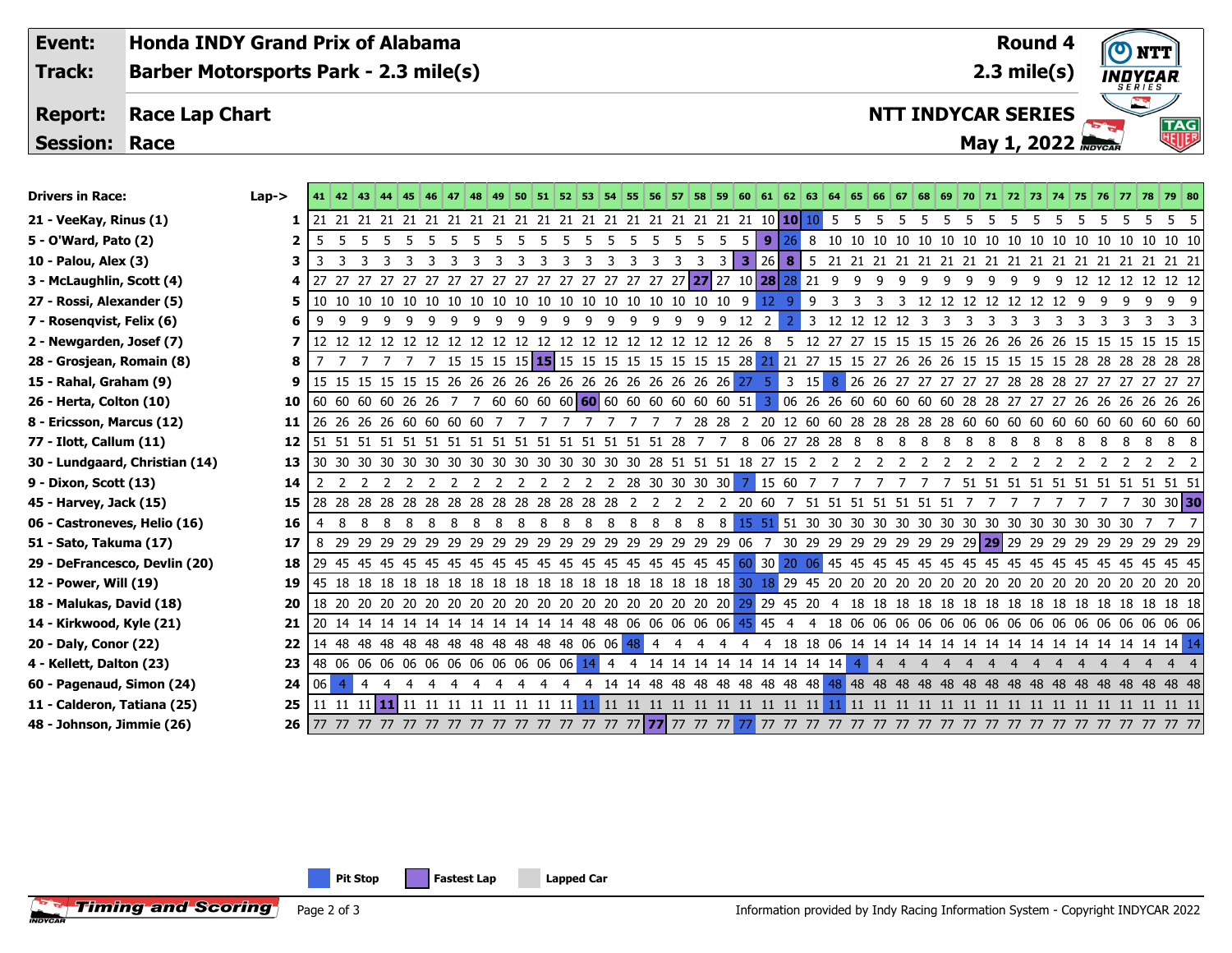**Round 4Event: Honda INDY Grand Prix of Alabama 2.3 mile(s) Track: Barber Motorsports Park - 2.3 mile(s)** INDYCAR **Report: Race Lap Chart NTT INDYCAR SERIES TAG Session: Race May 1, 2022** *Maycare* Drivers in Race: Lap-> 41 42 43 44 45 46 47 48 49 50 51 52 53 54 55 56 57 58 59 60 61 62 63 64 65 66 67 68 69 70 71 72 73 74 75 76 77 78 79 80 **21 - VeeKay, Rinus (1) 1** 21 21 21 21 21 21 21 21 21 21 21 21 21 21 21 21 21 21 21 21 10 **10** 10 5 5 5 5 5 5 5 5 5 5 5 5 5 5 5 5 5 **5 - O'Ward, Pato (2) 2** 5 5 5 5 5 5 5 5 5 5 5 5 5 5 5 5 5 5 5 5 **9** 26 8 10 10 10 10 10 10 10 10 10 10 10 10 10 10 10 10 10 **10 - Palou, Alex (3) 3** 3 3 3 3 3 3 3 3 3 3 3 3 3 3 3 3 3 3 3 **3** 26 **8** 5 21 21 21 21 21 21 21 21 21 21 21 21 21 21 21 21 21 **3 - McLaughlin, Scott (4) 4** 27 27 27 27 27 27 27 27 27 27 27 27 27 27 27 27 27 **27** 27 10 **28** 28 21 9 9 9 9 9 9 9 9 9 9 9 12 12 12 12 12 12 **27 - Rossi, Alexander (5) 5** 10 10 10 10 10 10 10 10 10 10 10 10 10 10 10 10 10 10 10 9 12 9 9 3 3 3 3 12 12 12 12 12 12 12 9 9 9 9 9 9 **7 - Rosenqvist, Felix (6) 6** 9 9 9 9 9 9 9 9 9 9 9 9 9 9 9 9 9 9 9 12 2 2 3 12 12 12 12 3 3 3 3 3 3 3 3 3 3 3 3 3

**2 - Newgarden, Josef (7) 7** 12 12 12 12 12 12 12 12 12 12 12 12 12 12 12 12 12 12 12 26 8 5 12 27 27 15 15 15 15 26 26 26 26 26 15 15 15 15 15 15

**28 - Grosjean, Romain (8) 8** 7 7 7 7 7 7 15 15 15 15 **15** 15 15 15 15 15 15 15 15 28 21 21 27 15 15 27 26 26 26 15 15 15 15 15 28 28 28 28 28 28

**15 - Rahal, Graham (9) 9** 15 15 15 15 15 15 15 26 26 26 26 26 26 26 26 26 26 26 26 27 5 3 15 8 26 26 26 27 27 27 27 27 28 28 28 28 27 27 27 27 27 27 27 27 27

**26 - Herta, Colton (10) 10** 60 60 60 60 60 60 26 26 7 7 60 60 60 60 60 60 60 60 60 60 60 51 3 06 26 26 60 60 60 60 60 60 60 60 28 27 27 27 26 26 26 26 26 26 26 26 26 26 26 27 27 27 27 28 28 27 27 26 26 26 26 26 26 26 27

**8 - Ericsson, Marcus (12) 11** 26 26 26 26 60 60 60 60 7 7 7 7 7 7 7 7 7 28 28 2 20 12 60 60 28 28 28 28 28 60 60 60 60 60 60 60 60 60 60 60

**77 - Ilott, Callum (11) 12** 51 51 51 51 51 51 51 51 51 51 51 51 51 51 51 51 28 7 7 8 06 27 28 28 8 8 8 8 8 8 8 8 8 8 8 8 8 8 8 8

**30 - Lundgaard, Christian (14) 13** 30 30 30 30 30 30 30 30 30 30 30 30 30 30 30 28 51 51 51 18 27 15 2 2 2 2 2 2 2 2 2 2 2 2 2 2 2 2 2 2

**9 - Dixon, Scott (13) 14** 2 2 2 2 2 2 2 2 2 2 2 2 2 2 28 30 30 30 30 7 15 60 7 7 7 7 7 7 7 51 51 51 51 51 51 51 51 51 51 51

**45 - Harvey, Jack (15) 15** 28 28 28 28 28 28 28 28 28 28 28 28 28 28 2 2 2 2 2 20 60 7 51 51 51 51 51 51 51 7 7 7 7 7 7 7 7 30 30 **30**

**4 - Kellett, Dalton (23) 23** 48 06 06 06 06 06 06 06 06 06 06 06 14 4 4 14 14 14 14 14 14 14 14 14 4 4 4 4 4 4 4 4 4 4 4 4 4 4 4 4

**06 - Castroneves, Helio (16) 16** 4 8 8 8 8 8 8 8 8 8 8 8 8 8 8 8 8 8 8 15 51 51 30 30 30 30 30 30 30 30 30 30 30 30 30 30 30 7 7 7 **51 - Sato, Takuma (17) 17** 8 29 29 29 29 29 29 29 29 29 29 29 29 29 29 29 29 29 29 06 7 30 29 29 29 29 29 29 29 29 **29** 29 29 29 29 29 29 29 29 29 **29 - DeFrancesco, Devlin (20) 18** 29 45 45 45 45 45 45 45 45 45 45 45 45 45 45 45 45 45 45 60 30 20 06 45 45 45 45 45 45 45 45 45 45 45 45 45 45 45 45 45 **12 - Power, Will (19) 19** 45 18 18 18 18 18 18 18 18 18 18 18 18 18 18 18 18 18 18 30 18 29 45 20 20 20 20 20 20 20 20 20 20 20 20 20 20 20 20 20 **18 - Malukas, David (18) 20** 18 20 20 20 20 20 20 20 20 20 20 20 20 20 20 20 20 20 20 29 29 45 20 4 18 18 18 18 18 18 18 18 18 18 18 18 18 18 18 18 **14 - Kirkwood, Kyle (21) 21** 20 14 14 14 14 14 14 14 14 14 14 14 48 48 06 06 06 06 06 45 45 4 4 18 06 06 06 06 06 06 06 06 06 06 06 06 06 06 06 06 **20 - Daly, Conor (22) 22** 14 48 48 48 48 48 48 48 48 48 48 48 06 06 48 4 4 4 4 4 4 18 18 06 14 14 14 14 14 14 14 14 14 14 14 14 14 14 14 14

**60 - Pagenaud, Simon (24) 24** 06 4 4 4 4 4 4 4 4 4 4 4 4 14 14 48 48 48 48 48 48 48 48 48 48 48 48 48 48 48 48 48 48 48 48 48 48 48 48 48 **11 - Calderon, Tatiana (25) 25** 11 11 11 **11** 11 11 11 11 11 11 11 11 11 11 11 11 11 11 11 11 11 11 11 11 11 11 11 11 11 11 11 11 11 11 11 11 11 11 11 11 **48 - Johnson, Jimmie (26) 26** 77 77 77 77 77 77 77 77 77 77 77 77 77 77 77 **77** 77 77 77 77 77 77 77 77 77 77 77 77 77 77 77 77 77 77 77 77 77 77 77 77

**Pit Stop Fastest Lap Lapped Car**



Information provided by Indy Racing Information System - Copyright INDYCAR 2022